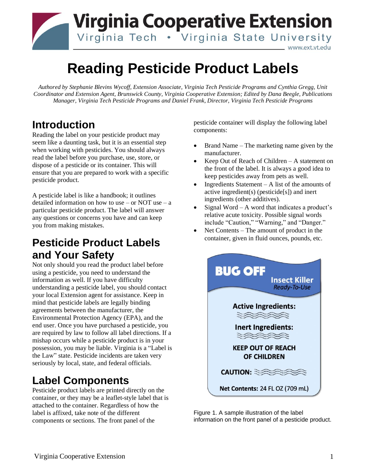## **Virginia Cooperative Extension** Virginia Tech . Virginia State University www.ext.vt.edu

# **Reading Pesticide Product Labels**

*Authored by Stephanie Blevins Wycoff, Extension Associate, Virginia Tech Pesticide Programs and Cynthia Gregg, Unit Coordinator and Extension Agent, Brunswick County, Virginia Cooperative Extension; Edited by Dana Beegle, Publications Manager, Virginia Tech Pesticide Programs and Daniel Frank, Director, Virginia Tech Pesticide Programs*

### **Introduction**

Reading the label on your pesticide product may seem like a daunting task, but it is an essential step when working with pesticides. You should always read the label before you purchase, use, store, or dispose of a pesticide or its container. This will ensure that you are prepared to work with a specific pesticide product.

A pesticide label is like a handbook; it outlines detailed information on how to use – or NOT use –  $a$ particular pesticide product. The label will answer any questions or concerns you have and can keep you from making mistakes.

#### **Pesticide Product Labels and Your Safety**

Not only should you read the product label before using a pesticide, you need to understand the information as well. If you have difficulty understanding a pesticide label, you should contact your local Extension agent for assistance. Keep in mind that pesticide labels are legally binding agreements between the manufacturer, the Environmental Protection Agency (EPA), and the end user. Once you have purchased a pesticide, you are required by law to follow all label directions. If a mishap occurs while a pesticide product is in your possession, you may be liable. Virginia is a "Label is the Law" state. Pesticide incidents are taken very seriously by local, state, and federal officials.

## **Label Components**

Pesticide product labels are printed directly on the container, or they may be a leaflet-style label that is attached to the container. Regardless of how the label is affixed, take note of the different components or sections. The front panel of the

pesticide container will display the following label components:

- Brand Name The marketing name given by the manufacturer.
- Keep Out of Reach of Children A statement on the front of the label. It is always a good idea to keep pesticides away from pets as well.
- Ingredients Statement A list of the amounts of active ingredient(s) (pesticide[s]) and inert ingredients (other additives).
- Signal Word A word that indicates a product's relative acute toxicity. Possible signal words include "Caution," "Warning," and "Danger."
- Net Contents The amount of product in the container, given in fluid ounces, pounds, etc.



Figure 1. A sample illustration of the label information on the front panel of a pesticide product.